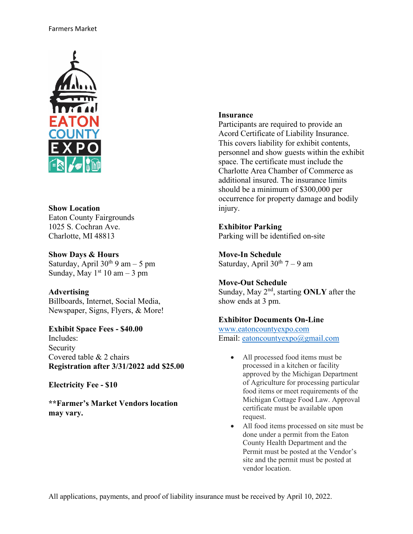

# **Show Location** Eaton County Fairgrounds

1025 S. Cochran Ave. Charlotte, MI 48813

**Show Days & Hours** Saturday, April  $30^{th}$  9 am – 5 pm Sunday, May  $1<sup>st</sup> 10$  am  $-3$  pm

# **Advertising**

Billboards, Internet, Social Media, Newspaper, Signs, Flyers, & More!

**Exhibit Space Fees - \$40.00** Includes: Security Covered table & 2 chairs **Registration after 3/31/2022 add \$25.00**

**Electricity Fee - \$10**

**\*\*Farmer's Market Vendors location may vary.** 

## **Insurance**

Participants are required to provide an Acord Certificate of Liability Insurance. This covers liability for exhibit contents, personnel and show guests within the exhibit space. The certificate must include the Charlotte Area Chamber of Commerce as additional insured. The insurance limits should be a minimum of \$300,000 per occurrence for property damage and bodily injury.

# **Exhibitor Parking**

Parking will be identified on-site

**Move-In Schedule** Saturday, April  $30^{th}$  7 – 9 am

## **Move-Out Schedule**

Sunday, May 2<sup>nd</sup>, starting **ONLY** after the show ends at 3 pm.

## **Exhibitor Documents On-Line**

[www.eatoncountyexpo.com](http://www.micharlotte.org/) Email: [eatoncountyexpo@gmail.com](mailto:eatoncountyexpo@gmail.com)

- All processed food items must be processed in a kitchen or facility approved by the Michigan Department of Agriculture for processing particular food items or meet requirements of the Michigan Cottage Food Law. Approval certificate must be available upon request.
- All food items processed on site must be done under a permit from the Eaton County Health Department and the Permit must be posted at the Vendor's site and the permit must be posted at vendor location.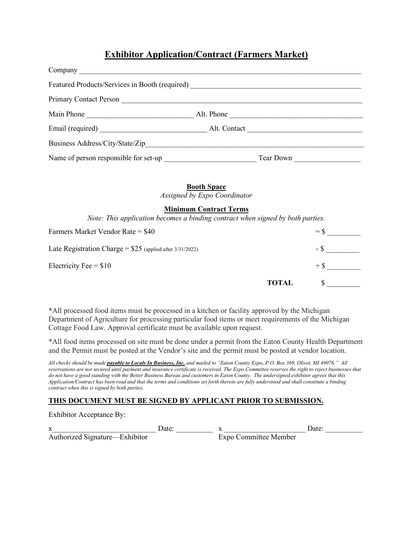# **Exhibitor Application/Contract (Farmers Market)**

| Featured Products/Services in Booth (required)<br><u>Featured</u> Products/Services in Booth (required) |              |
|---------------------------------------------------------------------------------------------------------|--------------|
| <b>Primary Contact Person</b>                                                                           |              |
| Main Phone                                                                                              | Alt. Phone   |
|                                                                                                         | Alt. Contact |
| Business Address/City/State/Zip                                                                         |              |
| Name of person responsible for set-up                                                                   | Tear Down    |

#### **Booth Space**

*Assigned by Expo Coordinator*

#### **Minimum Contract Terms**

*Note: This application becomes a binding contract when signed by both parties.*

| Farmers Market Vendor Rate = $$40$                         |              | $=$ S |
|------------------------------------------------------------|--------------|-------|
| Late Registration Charge = $$25$ (applied after 3/31/2022) |              | $+$ S |
| Electricity Fee $= $10$                                    |              | $+ S$ |
|                                                            | <b>TOTAL</b> |       |

\*All processed food items must be processed in a kitchen or facility approved by the Michigan Department of Agriculture for processing particular food items or meet requirements of the Michigan Cottage Food Law. Approval certificate must be available upon request.

\*All food items processed on site must be done under a permit from the Eaton County Health Department and the Permit must be posted at the Vendor's site and the permit must be posted at vendor location.

*All checks should be made payable to Locals In Business, Inc. and mailed to "Eaton County Expo, P.O. Box 369, Olivet, MI 49076." All reservations are not secured until payment and insurance certificate is received. The Expo Committee reserves the right to reject businesses that do not have a good standing with the Better Business Bureau and customers in Eaton County. The undersigned exhibitor agrees that this Application/Contract has been read and that the terms and conditions set forth therein are fully understood and shall constitute a binding contract when this is signed by both parties.* 

#### **THIS DOCUMENT MUST BE SIGNED BY APPLICANT PRIOR TO SUBMISSION.**

Exhibitor Acceptance By:

x\_\_\_\_\_\_\_\_\_\_\_\_\_\_\_\_\_\_\_\_\_\_\_\_\_\_\_\_ Date: \_\_\_\_\_\_\_\_\_\_ x \_\_\_\_\_\_\_\_\_\_\_\_\_\_\_\_\_\_\_\_\_\_ Date: \_\_\_\_\_\_\_\_\_\_ Authorized Signature—Exhibitor Expo Committee Member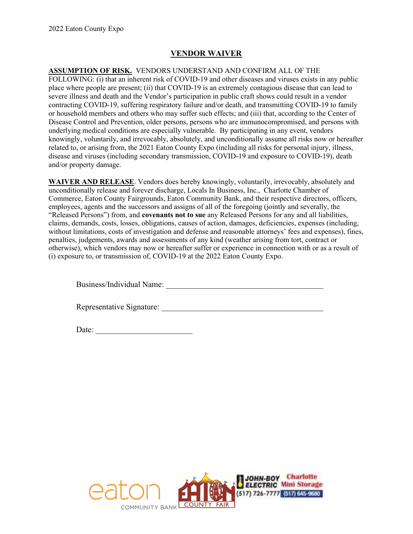### VENDOR WAIVER

#### ASSUMPTION OF RISK. VENDORS UNDERSTAND AND CONFIRM ALL OF THE

FOLLOWING: (i) that an inherent risk of COVID-19 and other diseases and viruses exists in any public place where people are present; (ii) that COVID-19 is an extremely contagious disease that can lead to severe illness and death and the Vendor's participation in public craft shows could result in a vendor contracting COVID-19, suffering respiratory failure and/or death, and transmitting COVID-19 to family or household members and others who may suffer such effects; and (iii) that, according to the Center of Disease Control and Prevention, older persons, persons who are immunocompromised, and persons with underlying medical conditions are especially vulnerable. By participating in any event, vendors knowingly, voluntarily, and irrevocably, absolutely, and unconditionally assume all risks now or hereafter related to, or arising from, the 2021 Eaton County Expo (including all risks for personal injury, illness, disease and viruses (including secondary transmission, COVID-19 and exposure to COVID-19), death and/or property damage.

WAIVER AND RELEASE. Vendors does hereby knowingly, voluntarily, irrevocably, absolutely and unconditionally release and forever discharge, Locals In Business, Inc., Charlotte Chamber of Commerce, Eaton County Fairgrounds, Eaton Community Bank, and their respective directors, officers, employees, agents and the successors and assigns of all of the foregoing (jointly and severally, the "Released Persons") from, and covenants not to sue any Released Persons for any and all liabilities, claims, demands, costs, losses, obligations, causes of action, damages, deficiencies, expenses (including, without limitations, costs of investigation and defense and reasonable attorneys' fees and expenses), fines, penalties, judgements, awards and assessments of any kind (weather arising from tort, contract or otherwise), which vendors may now or hereafter suffer or experience in connection with or as a result of (i) exposure to, or transmission of, COVID-19 at the 2022 Eaton County Expo.

Business/Individual Name:

Representative Signature: \_\_\_\_\_\_\_\_\_\_\_\_\_\_\_\_\_\_\_\_\_\_\_\_\_\_\_\_\_\_\_\_\_\_\_\_\_\_\_\_

Date: